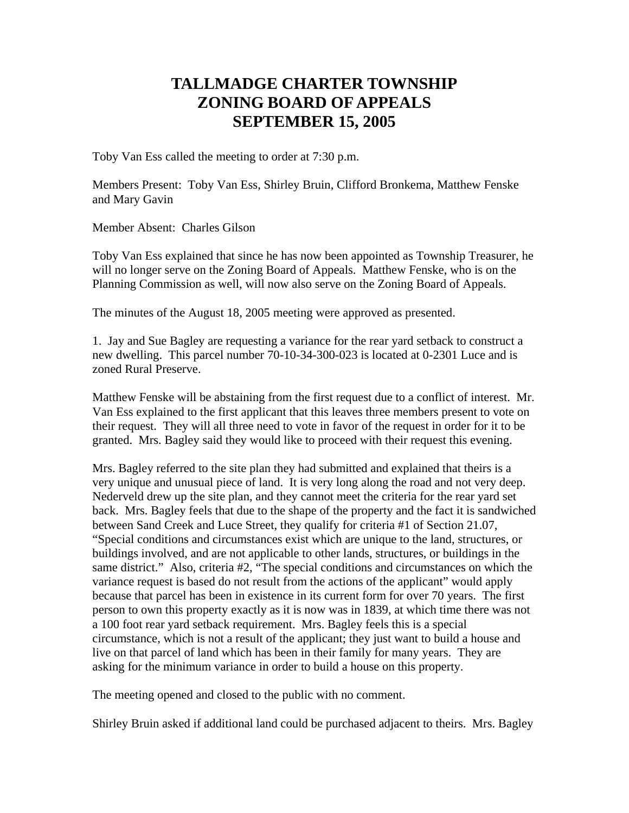## **TALLMADGE CHARTER TOWNSHIP ZONING BOARD OF APPEALS SEPTEMBER 15, 2005**

Toby Van Ess called the meeting to order at 7:30 p.m.

Members Present: Toby Van Ess, Shirley Bruin, Clifford Bronkema, Matthew Fenske and Mary Gavin

Member Absent: Charles Gilson

Toby Van Ess explained that since he has now been appointed as Township Treasurer, he will no longer serve on the Zoning Board of Appeals. Matthew Fenske, who is on the Planning Commission as well, will now also serve on the Zoning Board of Appeals.

The minutes of the August 18, 2005 meeting were approved as presented.

1. Jay and Sue Bagley are requesting a variance for the rear yard setback to construct a new dwelling. This parcel number 70-10-34-300-023 is located at 0-2301 Luce and is zoned Rural Preserve.

Matthew Fenske will be abstaining from the first request due to a conflict of interest. Mr. Van Ess explained to the first applicant that this leaves three members present to vote on their request. They will all three need to vote in favor of the request in order for it to be granted. Mrs. Bagley said they would like to proceed with their request this evening.

Mrs. Bagley referred to the site plan they had submitted and explained that theirs is a very unique and unusual piece of land. It is very long along the road and not very deep. Nederveld drew up the site plan, and they cannot meet the criteria for the rear yard set back. Mrs. Bagley feels that due to the shape of the property and the fact it is sandwiched between Sand Creek and Luce Street, they qualify for criteria #1 of Section 21.07, "Special conditions and circumstances exist which are unique to the land, structures, or buildings involved, and are not applicable to other lands, structures, or buildings in the same district." Also, criteria #2, "The special conditions and circumstances on which the variance request is based do not result from the actions of the applicant" would apply because that parcel has been in existence in its current form for over 70 years. The first person to own this property exactly as it is now was in 1839, at which time there was not a 100 foot rear yard setback requirement. Mrs. Bagley feels this is a special circumstance, which is not a result of the applicant; they just want to build a house and live on that parcel of land which has been in their family for many years. They are asking for the minimum variance in order to build a house on this property.

The meeting opened and closed to the public with no comment.

Shirley Bruin asked if additional land could be purchased adjacent to theirs. Mrs. Bagley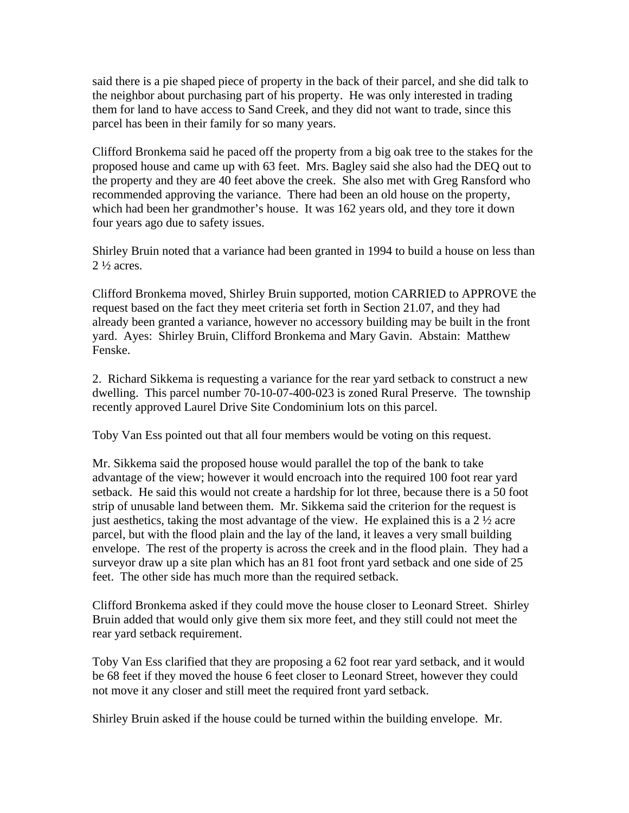said there is a pie shaped piece of property in the back of their parcel, and she did talk to the neighbor about purchasing part of his property. He was only interested in trading them for land to have access to Sand Creek, and they did not want to trade, since this parcel has been in their family for so many years.

Clifford Bronkema said he paced off the property from a big oak tree to the stakes for the proposed house and came up with 63 feet. Mrs. Bagley said she also had the DEQ out to the property and they are 40 feet above the creek. She also met with Greg Ransford who recommended approving the variance. There had been an old house on the property, which had been her grandmother's house. It was 162 years old, and they tore it down four years ago due to safety issues.

Shirley Bruin noted that a variance had been granted in 1994 to build a house on less than  $2\frac{1}{2}$  acres.

Clifford Bronkema moved, Shirley Bruin supported, motion CARRIED to APPROVE the request based on the fact they meet criteria set forth in Section 21.07, and they had already been granted a variance, however no accessory building may be built in the front yard. Ayes: Shirley Bruin, Clifford Bronkema and Mary Gavin. Abstain: Matthew Fenske.

2. Richard Sikkema is requesting a variance for the rear yard setback to construct a new dwelling. This parcel number 70-10-07-400-023 is zoned Rural Preserve. The township recently approved Laurel Drive Site Condominium lots on this parcel.

Toby Van Ess pointed out that all four members would be voting on this request.

Mr. Sikkema said the proposed house would parallel the top of the bank to take advantage of the view; however it would encroach into the required 100 foot rear yard setback. He said this would not create a hardship for lot three, because there is a 50 foot strip of unusable land between them. Mr. Sikkema said the criterion for the request is just aesthetics, taking the most advantage of the view. He explained this is a  $2\frac{1}{2}$  acre parcel, but with the flood plain and the lay of the land, it leaves a very small building envelope. The rest of the property is across the creek and in the flood plain. They had a surveyor draw up a site plan which has an 81 foot front yard setback and one side of 25 feet. The other side has much more than the required setback.

Clifford Bronkema asked if they could move the house closer to Leonard Street. Shirley Bruin added that would only give them six more feet, and they still could not meet the rear yard setback requirement.

Toby Van Ess clarified that they are proposing a 62 foot rear yard setback, and it would be 68 feet if they moved the house 6 feet closer to Leonard Street, however they could not move it any closer and still meet the required front yard setback.

Shirley Bruin asked if the house could be turned within the building envelope. Mr.